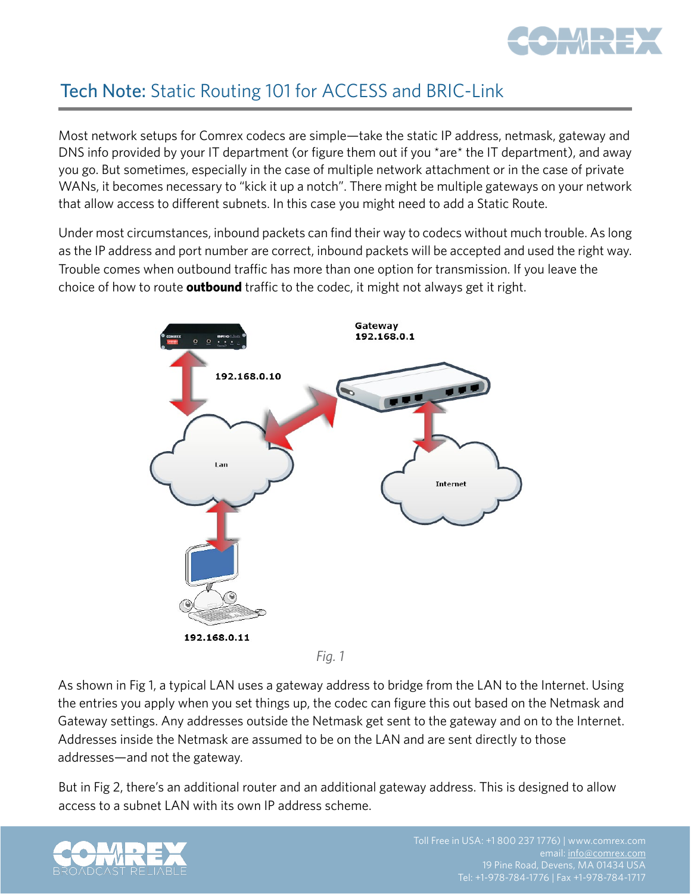

## Tech Note: Static Routing 101 for ACCESS and BRIC-Link

Most network setups for Comrex codecs are simple—take the static IP address, netmask, gateway and DNS info provided by your IT department (or figure them out if you \*are\* the IT department), and away you go. But sometimes, especially in the case of multiple network attachment or in the case of private WANs, it becomes necessary to "kick it up a notch". There might be multiple gateways on your network that allow access to different subnets. In this case you might need to add a Static Route.

Under most circumstances, inbound packets can find their way to codecs without much trouble. As long as the IP address and port number are correct, inbound packets will be accepted and used the right way. Trouble comes when outbound traffic has more than one option for transmission. If you leave the choice of how to route **outbound** traffic to the codec, it might not always get it right.



*Fig. 1*

As shown in Fig 1, a typical LAN uses a gateway address to bridge from the LAN to the Internet. Using the entries you apply when you set things up, the codec can figure this out based on the Netmask and Gateway settings. Any addresses outside the Netmask get sent to the gateway and on to the Internet. Addresses inside the Netmask are assumed to be on the LAN and are sent directly to those addresses—and not the gateway.

But in Fig 2, there's an additional router and an additional gateway address. This is designed to allow access to a subnet LAN with its own IP address scheme.

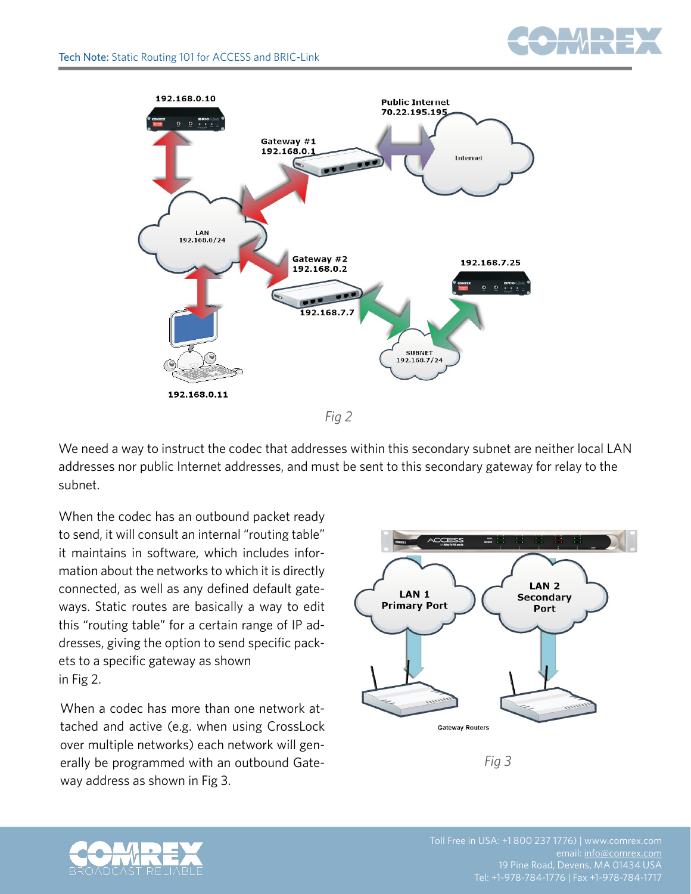

We need a way to instruct the codec that addresses within this secondary subnet are neither local LAN addresses nor public Internet addresses, and must be sent to this secondary gateway for relay to the subnet.

When the codec has an outbound packet ready to send, it will consult an internal "routing table" it maintains in software, which includes information about the networks to which it is directly connected, as well as any defined default gateways. Static routes are basically a way to edit this "routing table" for a certain range of IP addresses, giving the option to send specific packets to a specific gateway as shown in Fig 2.

When a codec has more than one network attached and active (e.g. when using CrossLock over multiple networks) each network will generally be programmed with an outbound Gateway address as shown in Fig 3.



*Fig 3*



email: [info@comrex.com](mailto:info@comrex.com)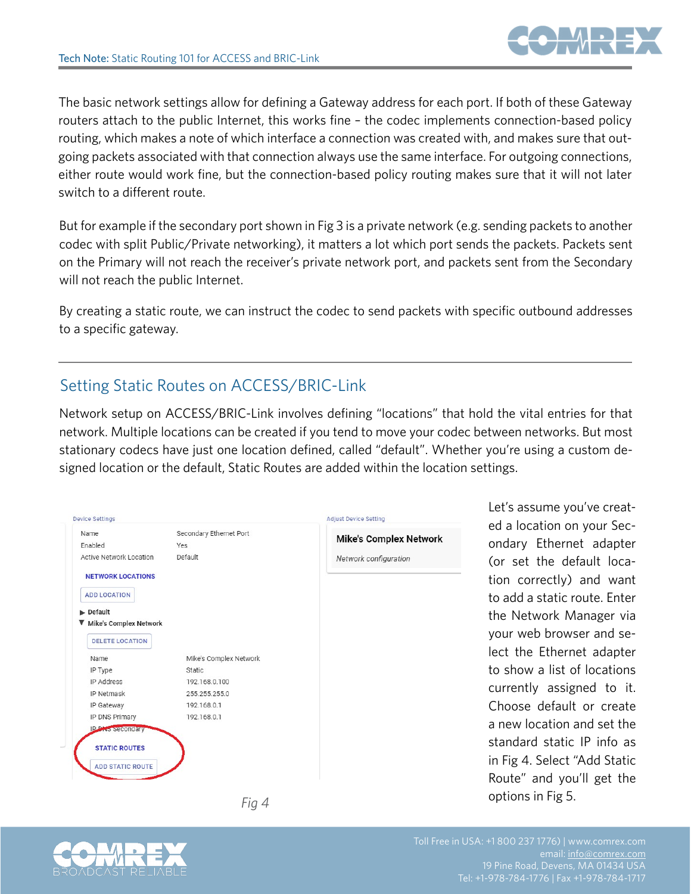

The basic network settings allow for defining a Gateway address for each port. If both of these Gateway routers attach to the public Internet, this works fine – the codec implements connection-based policy routing, which makes a note of which interface a connection was created with, and makes sure that outgoing packets associated with that connection always use the same interface. For outgoing connections, either route would work fine, but the connection-based policy routing makes sure that it will not later switch to a different route.

But for example if the secondary port shown in Fig 3 is a private network (e.g. sending packets to another codec with split Public/Private networking), it matters a lot which port sends the packets. Packets sent on the Primary will not reach the receiver's private network port, and packets sent from the Secondary will not reach the public Internet.

By creating a static route, we can instruct the codec to send packets with specific outbound addresses to a specific gateway.

## Setting Static Routes on ACCESS/BRIC-Link

Network setup on ACCESS/BRIC-Link involves defining "locations" that hold the vital entries for that network. Multiple locations can be created if you tend to move your codec between networks. But most stationary codecs have just one location defined, called "default". Whether you're using a custom designed location or the default, Static Routes are added within the location settings.

| <b>Device Settings</b>                                                                                                                                                                                                                                                    |                                                                                                                                               | <b>Adjust Device Setting</b>                           | Let's assume yo                                                                                                                                                                                                                     |
|---------------------------------------------------------------------------------------------------------------------------------------------------------------------------------------------------------------------------------------------------------------------------|-----------------------------------------------------------------------------------------------------------------------------------------------|--------------------------------------------------------|-------------------------------------------------------------------------------------------------------------------------------------------------------------------------------------------------------------------------------------|
| Name<br>Enabled<br>Active Network Location<br><b>NETWORK LOCATIONS</b><br><b>ADD LOCATION</b><br>Default<br>▼ Mike's Complex Network<br><b>DELETE LOCATION</b><br>Name<br>IP Type<br>IP Address<br>IP Netmask<br>IP Gateway<br>IP DNS Primary<br><b>P. Pris secondary</b> | Secondary Ethernet Port<br>Yes<br>Default<br>Mike's Complex Network<br>Static<br>192.168.0.100<br>255.255.255.0<br>192.168.0.1<br>192.168.0.1 | <b>Mike's Complex Network</b><br>Network configuration | ed a location on<br>ondary Etherne<br>(or set the det<br>tion correctly)<br>to add a static re<br>the Network M<br>your web brows<br>lect the Ethern<br>to show a list of<br>currently assign<br>Choose default<br>a new location a |
| <b>STATIC ROUTES</b><br><b>ADD STATIC ROUTE</b>                                                                                                                                                                                                                           |                                                                                                                                               |                                                        | standard static<br>in Fig 4. Select "<br>Route" and you                                                                                                                                                                             |
|                                                                                                                                                                                                                                                                           | Fia 4                                                                                                                                         |                                                        | options in Fig 5.                                                                                                                                                                                                                   |

Let's assume you've created a location on your Secondary Ethernet adapter (or set the default location correctly) and want to add a static route. Enter the Network Manager via your web browser and select the Ethernet adapter to show a list of locations currently assigned to it. Choose default or create a new location and set the standard static IP info as in Fig 4. Select "Add Static Route" and you'll get the





email: [info@comrex.com](mailto:info@comrex.com) Tel: +1-978-784-1776 | Fax +1-978-784-1717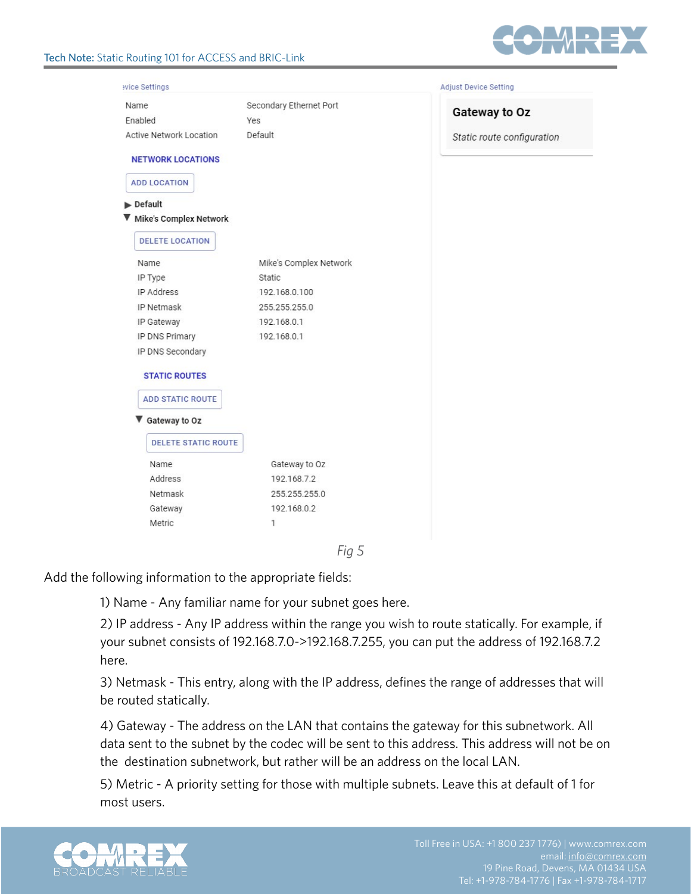

| Name                           | Secondary Ethernet Port |                            |
|--------------------------------|-------------------------|----------------------------|
| Enabled                        | Yes                     | Gateway to Oz              |
| <b>Active Network Location</b> | Default                 | Static route configuration |
| <b>NETWORK LOCATIONS</b>       |                         |                            |
| <b>ADD LOCATION</b>            |                         |                            |
| $\blacktriangleright$ Default  |                         |                            |
| Mike's Complex Network         |                         |                            |
| <b>DELETE LOCATION</b>         |                         |                            |
| Name                           | Mike's Complex Network  |                            |
| IP Type                        | Static                  |                            |
| IP Address                     | 192.168.0.100           |                            |
| IP Netmask                     | 255.255.255.0           |                            |
| IP Gateway                     | 192.168.0.1             |                            |
| IP DNS Primary                 | 192.168.0.1             |                            |
| IP DNS Secondary               |                         |                            |
| <b>STATIC ROUTES</b>           |                         |                            |
| <b>ADD STATIC ROUTE</b>        |                         |                            |
|                                |                         |                            |
| Gateway to Oz                  |                         |                            |
| <b>DELETE STATIC ROUTE</b>     |                         |                            |
| Name                           | Gateway to Oz           |                            |
| Address                        | 192.168.7.2             |                            |
| Netmask                        | 255.255.255.0           |                            |
| Gateway                        | 192.168.0.2             |                            |
| Metric                         | 1                       |                            |
|                                |                         |                            |

Add the following information to the appropriate fields:

1) Name - Any familiar name for your subnet goes here.

2) IP address - Any IP address within the range you wish to route statically. For example, if your subnet consists of 192.168.7.0->192.168.7.255, you can put the address of 192.168.7.2 here.

3) Netmask - This entry, along with the IP address, defines the range of addresses that will be routed statically.

4) Gateway - The address on the LAN that contains the gateway for this subnetwork. All data sent to the subnet by the codec will be sent to this address. This address will not be on the destination subnetwork, but rather will be an address on the local LAN.

5) Metric - A priority setting for those with multiple subnets. Leave this at default of 1 for most users.